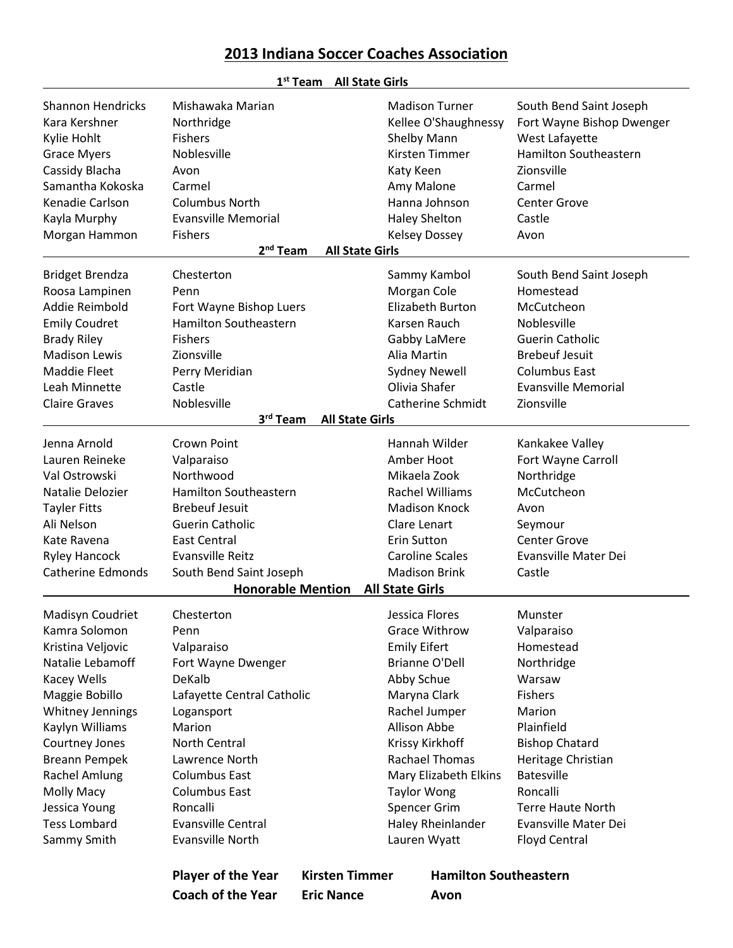## **2013 Indiana Soccer Coaches Association**

|                          |                              | <b>All State Girls</b><br>$1st$ Team |                              |                                         |
|--------------------------|------------------------------|--------------------------------------|------------------------------|-----------------------------------------|
| <b>Shannon Hendricks</b> | Mishawaka Marian             |                                      | <b>Madison Turner</b>        | South Bend Saint Joseph                 |
| Kara Kershner            | Northridge                   |                                      | Kellee O'Shaughnessy         | Fort Wayne Bishop Dwenger               |
| Kylie Hohlt              | <b>Fishers</b>               |                                      | Shelby Mann                  | West Lafayette                          |
| <b>Grace Myers</b>       | Noblesville                  |                                      | Kirsten Timmer               | <b>Hamilton Southeastern</b>            |
| Cassidy Blacha           | Avon                         |                                      | Katy Keen                    | Zionsville                              |
| Samantha Kokoska         | Carmel                       |                                      | Amy Malone                   | Carmel                                  |
| Kenadie Carlson          | <b>Columbus North</b>        |                                      | Hanna Johnson                | <b>Center Grove</b>                     |
| Kayla Murphy             | <b>Evansville Memorial</b>   |                                      | <b>Haley Shelton</b>         | Castle                                  |
| Morgan Hammon            | <b>Fishers</b>               |                                      | <b>Kelsey Dossey</b>         | Avon                                    |
|                          | 2 <sup>nd</sup> Team         | <b>All State Girls</b>               |                              |                                         |
| <b>Bridget Brendza</b>   | Chesterton                   |                                      | Sammy Kambol                 | South Bend Saint Joseph                 |
| Roosa Lampinen           | Penn                         |                                      | Morgan Cole                  | Homestead                               |
| Addie Reimbold           | Fort Wayne Bishop Luers      |                                      | <b>Elizabeth Burton</b>      | McCutcheon                              |
| <b>Emily Coudret</b>     | <b>Hamilton Southeastern</b> |                                      | Karsen Rauch                 | Noblesville                             |
| <b>Brady Riley</b>       | <b>Fishers</b>               |                                      | Gabby LaMere                 | <b>Guerin Catholic</b>                  |
| <b>Madison Lewis</b>     | Zionsville                   |                                      | Alia Martin                  | <b>Brebeuf Jesuit</b>                   |
| <b>Maddie Fleet</b>      | Perry Meridian               |                                      | <b>Sydney Newell</b>         | <b>Columbus East</b>                    |
| Leah Minnette            | Castle                       |                                      | Olivia Shafer                | <b>Evansville Memorial</b>              |
| <b>Claire Graves</b>     | Noblesville                  |                                      | <b>Catherine Schmidt</b>     | Zionsville                              |
|                          | 3rd Team                     |                                      |                              |                                         |
|                          |                              | <b>All State Girls</b>               |                              |                                         |
| Jenna Arnold             | Crown Point                  |                                      | Hannah Wilder                | Kankakee Valley                         |
| Lauren Reineke           | Valparaiso                   |                                      | Amber Hoot                   | Fort Wayne Carroll                      |
| Val Ostrowski            | Northwood                    |                                      | Mikaela Zook                 | Northridge                              |
| Natalie Delozier         | Hamilton Southeastern        |                                      | <b>Rachel Williams</b>       | McCutcheon                              |
| <b>Tayler Fitts</b>      | <b>Brebeuf Jesuit</b>        |                                      | <b>Madison Knock</b>         | Avon                                    |
| Ali Nelson               | <b>Guerin Catholic</b>       |                                      | Clare Lenart                 | Seymour                                 |
| Kate Ravena              | <b>East Central</b>          |                                      | <b>Erin Sutton</b>           | <b>Center Grove</b>                     |
| <b>Ryley Hancock</b>     | <b>Evansville Reitz</b>      |                                      | <b>Caroline Scales</b>       | <b>Evansville Mater Dei</b>             |
| <b>Catherine Edmonds</b> | South Bend Saint Joseph      |                                      | <b>Madison Brink</b>         | Castle                                  |
|                          | <b>Honorable Mention</b>     |                                      | <b>All State Girls</b>       |                                         |
| Madisyn Coudriet         | Chesterton                   |                                      | Jessica Flores               | Munster                                 |
| Kamra Solomon            | Penn                         |                                      | <b>Grace Withrow</b>         | Valparaiso                              |
| Kristina Veljovic        | Valparaiso                   |                                      | <b>Emily Eifert</b>          | Homestead                               |
| Natalie Lebamoff         | Fort Wayne Dwenger           |                                      | <b>Brianne O'Dell</b>        | Northridge                              |
| Kacey Wells              | DeKalb                       |                                      | Abby Schue                   | Warsaw                                  |
| Maggie Bobillo           | Lafayette Central Catholic   |                                      | Maryna Clark                 | <b>Fishers</b>                          |
| <b>Whitney Jennings</b>  | Logansport                   |                                      | Rachel Jumper                | Marion                                  |
| Kaylyn Williams          | Marion                       |                                      | <b>Allison Abbe</b>          | Plainfield                              |
| Courtney Jones           | North Central                |                                      | Krissy Kirkhoff              | <b>Bishop Chatard</b>                   |
|                          | Lawrence North               |                                      | <b>Rachael Thomas</b>        |                                         |
| <b>Breann Pempek</b>     |                              |                                      |                              | Heritage Christian<br><b>Batesville</b> |
| Rachel Amlung            | <b>Columbus East</b>         |                                      | Mary Elizabeth Elkins        | Roncalli                                |
| Molly Macy               | <b>Columbus East</b>         |                                      | <b>Taylor Wong</b>           |                                         |
| Jessica Young            | Roncalli                     |                                      | Spencer Grim                 | Terre Haute North                       |
| <b>Tess Lombard</b>      | <b>Evansville Central</b>    |                                      | Haley Rheinlander            | Evansville Mater Dei                    |
| Sammy Smith              | Evansville North             |                                      | Lauren Wyatt                 | <b>Floyd Central</b>                    |
|                          | <b>Player of the Year</b>    | <b>Kirsten Timmer</b>                | <b>Hamilton Southeastern</b> |                                         |
|                          | <b>Coach of the Year</b>     | <b>Eric Nance</b>                    | Avon                         |                                         |
|                          |                              |                                      |                              |                                         |